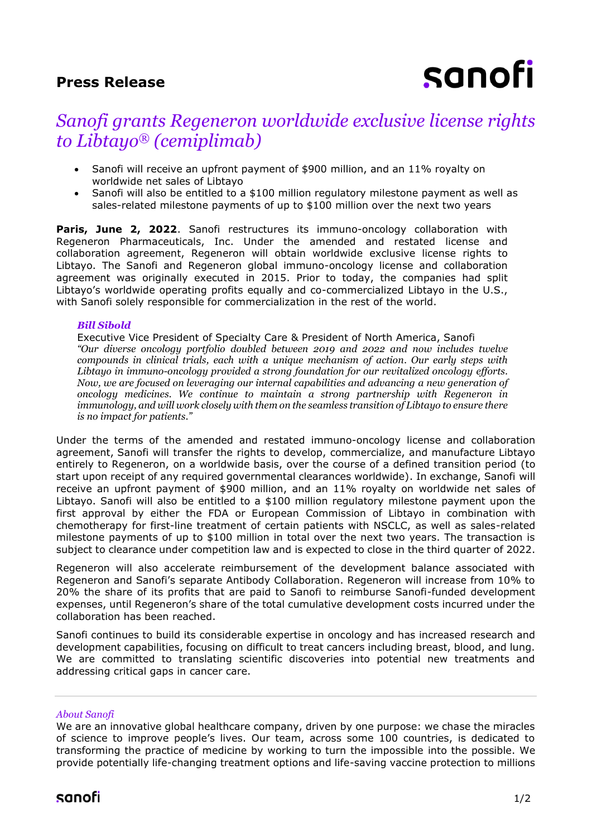## **Press Release**



# *Sanofi grants Regeneron worldwide exclusive license rights to Libtayo® (cemiplimab)*

- Sanofi will receive an upfront payment of \$900 million, and an 11% royalty on worldwide net sales of Libtayo
- Sanofi will also be entitled to a \$100 million regulatory milestone payment as well as sales-related milestone payments of up to \$100 million over the next two years

**Paris, June 2, 2022**. Sanofi restructures its immuno-oncology collaboration with Regeneron Pharmaceuticals, Inc. Under the amended and restated license and collaboration agreement, Regeneron will obtain worldwide exclusive license rights to Libtayo. The Sanofi and Regeneron global immuno-oncology license and collaboration agreement was [originally executed](https://investor.regeneron.com/news-releases/news-release-details/regeneron-and-sanofi-launch-major-new-immuno-oncology) in 2015. Prior to today, the companies had split Libtayo's worldwide operating profits equally and co-commercialized Libtayo in the U.S., with Sanofi solely responsible for commercialization in the rest of the world.

### *Bill Sibold*

Executive Vice President of Specialty Care & President of North America, Sanofi *"Our diverse oncology portfolio doubled between 2019 and 2022 and now includes twelve compounds in clinical trials, each with a unique mechanism of action. Our early steps with Libtayo in immuno-oncology provided a strong foundation for our revitalized oncology efforts. Now, we are focused on leveraging our internal capabilities and advancing a new generation of oncology medicines. We continue to maintain a strong partnership with Regeneron in immunology, and will work closely with them on the seamless transition of Libtayo to ensure there is no impact for patients."* 

Under the terms of the amended and restated immuno-oncology license and collaboration agreement, Sanofi will transfer the rights to develop, commercialize, and manufacture Libtayo entirely to Regeneron, on a worldwide basis, over the course of a defined transition period (to start upon receipt of any required governmental clearances worldwide). In exchange, Sanofi will receive an upfront payment of \$900 million, and an 11% royalty on worldwide net sales of Libtayo. Sanofi will also be entitled to a \$100 million regulatory milestone payment upon the first approval by either the FDA or European Commission of Libtayo in combination with chemotherapy for first-line treatment of certain patients with NSCLC, as well as sales-related milestone payments of up to \$100 million in total over the next two years. The transaction is subject to clearance under competition law and is expected to close in the third quarter of 2022.

Regeneron will also accelerate reimbursement of the development balance associated with Regeneron and Sanofi's separate Antibody Collaboration. Regeneron will increase from 10% to 20% the share of its profits that are paid to Sanofi to reimburse Sanofi-funded development expenses, until Regeneron's share of the total cumulative development costs incurred under the collaboration has been reached.

Sanofi continues to build its considerable expertise in oncology and has increased research and development capabilities, focusing on difficult to treat cancers including breast, blood, and lung. We are committed to translating scientific discoveries into potential new treatments and addressing critical gaps in cancer care.

#### *About Sanofi*

We are an innovative global healthcare company, driven by one purpose: we chase the miracles of science to improve people's lives. Our team, across some 100 countries, is dedicated to transforming the practice of medicine by working to turn the impossible into the possible. We provide potentially life-changing treatment options and life-saving vaccine protection to millions